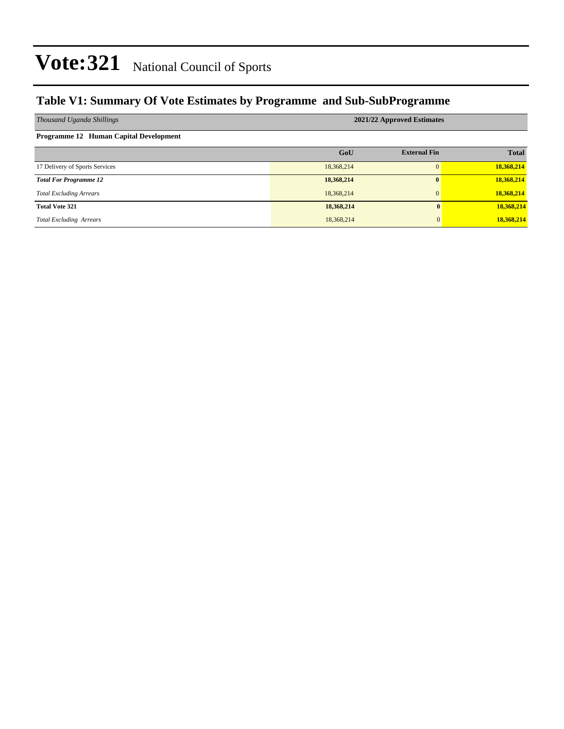#### **Table V1: Summary Of Vote Estimates by Programme and Sub-SubProgramme**

| Thousand Uganda Shillings              | 2021/22 Approved Estimates |                     |              |  |  |  |  |  |
|----------------------------------------|----------------------------|---------------------|--------------|--|--|--|--|--|
| Programme 12 Human Capital Development |                            |                     |              |  |  |  |  |  |
|                                        | GoU                        | <b>External Fin</b> | <b>Total</b> |  |  |  |  |  |
| 17 Delivery of Sports Services         | 18,368,214                 | $\Omega$            | 18,368,214   |  |  |  |  |  |
| <b>Total For Programme 12</b>          | 18,368,214                 | $\mathbf{0}$        | 18,368,214   |  |  |  |  |  |
| <b>Total Excluding Arrears</b>         | 18,368,214                 | $\mathbf{0}$        | 18,368,214   |  |  |  |  |  |
| <b>Total Vote 321</b>                  | 18,368,214                 | 0                   | 18,368,214   |  |  |  |  |  |
| <b>Total Excluding Arrears</b>         | 18,368,214                 | $\mathbf{0}$        | 18,368,214   |  |  |  |  |  |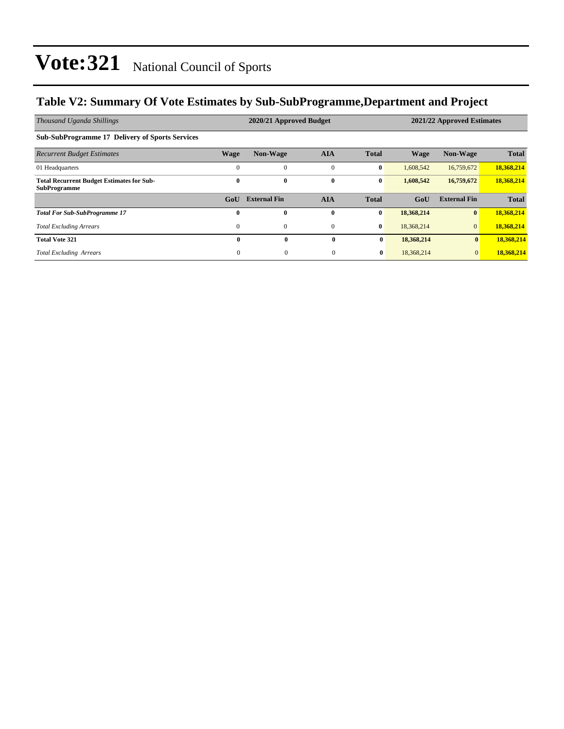#### **Table V2: Summary Of Vote Estimates by Sub-SubProgramme,Department and Project**

| Thousand Uganda Shillings                                               |                  | 2020/21 Approved Budget |              |              | 2021/22 Approved Estimates |                     |              |  |
|-------------------------------------------------------------------------|------------------|-------------------------|--------------|--------------|----------------------------|---------------------|--------------|--|
| <b>Sub-SubProgramme 17 Delivery of Sports Services</b>                  |                  |                         |              |              |                            |                     |              |  |
| <b>Recurrent Budget Estimates</b>                                       | <b>Wage</b>      | Non-Wage                | <b>AIA</b>   | <b>Total</b> | <b>Wage</b>                | Non-Wage            | <b>Total</b> |  |
| 01 Headquarters                                                         | $\Omega$         | $\Omega$                | $\mathbf{0}$ | $\bf{0}$     | 1.608.542                  | 16,759,672          | 18,368,214   |  |
| <b>Total Recurrent Budget Estimates for Sub-</b><br><b>SubProgramme</b> | $\bf{0}$         | $\bf{0}$                | $\bf{0}$     | $\bf{0}$     | 1,608,542                  | 16,759,672          | 18,368,214   |  |
|                                                                         | G <sub>0</sub> U | <b>External Fin</b>     | <b>AIA</b>   | <b>Total</b> | GoU                        | <b>External Fin</b> | <b>Total</b> |  |
| <b>Total For Sub-SubProgramme 17</b>                                    | $\mathbf{0}$     | $\mathbf{0}$            | $\mathbf{0}$ | $\bf{0}$     | 18,368,214                 | $\bf{0}$            | 18,368,214   |  |
| <b>Total Excluding Arrears</b>                                          | $\mathbf{0}$     | $\mathbf{0}$            | $\mathbf{0}$ | $\bf{0}$     | 18,368,214                 | $\overline{0}$      | 18,368,214   |  |
| <b>Total Vote 321</b>                                                   | $\mathbf{0}$     | $\bf{0}$                | $\mathbf{0}$ | $\bf{0}$     | 18,368,214                 | $\bf{0}$            | 18,368,214   |  |
| <b>Total Excluding Arrears</b>                                          | $\theta$         | $\theta$                | $\mathbf{0}$ | $\bf{0}$     | 18,368,214                 | $\mathbf{0}$        | 18,368,214   |  |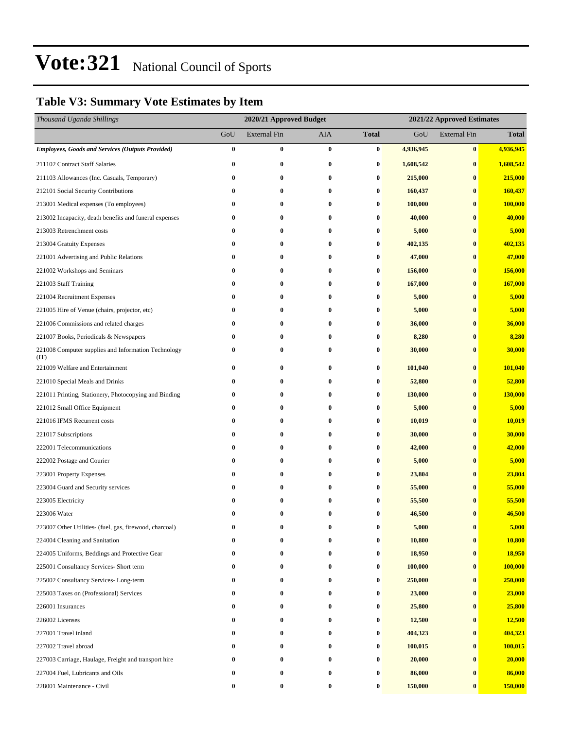### **Table V3: Summary Vote Estimates by Item**

| Thousand Uganda Shillings                                   |          | 2020/21 Approved Budget |                  |                  | 2021/22 Approved Estimates |                     |              |  |
|-------------------------------------------------------------|----------|-------------------------|------------------|------------------|----------------------------|---------------------|--------------|--|
|                                                             | GoU      | <b>External Fin</b>     | AIA              | <b>Total</b>     | GoU                        | <b>External Fin</b> | <b>Total</b> |  |
| <b>Employees, Goods and Services (Outputs Provided)</b>     | $\bf{0}$ | $\bf{0}$                | $\bf{0}$         | $\bf{0}$         | 4,936,945                  | $\bf{0}$            | 4,936,945    |  |
| 211102 Contract Staff Salaries                              | 0        | $\bf{0}$                | $\bf{0}$         | 0                | 1,608,542                  | $\bf{0}$            | 1,608,542    |  |
| 211103 Allowances (Inc. Casuals, Temporary)                 | 0        | $\bf{0}$                | $\bf{0}$         | 0                | 215,000                    | $\bf{0}$            | 215,000      |  |
| 212101 Social Security Contributions                        | 0        | 0                       | $\bf{0}$         | 0                | 160,437                    | $\bf{0}$            | 160,437      |  |
| 213001 Medical expenses (To employees)                      | 0        | $\bf{0}$                | $\bf{0}$         | $\bf{0}$         | 100,000                    | $\bf{0}$            | 100,000      |  |
| 213002 Incapacity, death benefits and funeral expenses      | 0        | $\bf{0}$                | $\bf{0}$         | 0                | 40,000                     | $\bf{0}$            | 40,000       |  |
| 213003 Retrenchment costs                                   | 0        | 0                       | $\bf{0}$         | 0                | 5,000                      | $\bf{0}$            | 5,000        |  |
| 213004 Gratuity Expenses                                    | 0        | $\bf{0}$                | 0                | 0                | 402,135                    | $\bf{0}$            | 402,135      |  |
| 221001 Advertising and Public Relations                     | 0        | 0                       | $\bf{0}$         | 0                | 47,000                     | $\bf{0}$            | 47,000       |  |
| 221002 Workshops and Seminars                               | 0        | $\bf{0}$                | 0                | $\bf{0}$         | 156,000                    | $\bf{0}$            | 156,000      |  |
| 221003 Staff Training                                       | 0        | $\bf{0}$                | $\bf{0}$         | 0                | 167,000                    | $\bf{0}$            | 167,000      |  |
| 221004 Recruitment Expenses                                 | 0        | 0                       | $\bf{0}$         | 0                | 5,000                      | $\bf{0}$            | 5,000        |  |
| 221005 Hire of Venue (chairs, projector, etc)               | 0        | $\bf{0}$                | 0                | $\bf{0}$         | 5,000                      | $\bf{0}$            | 5,000        |  |
| 221006 Commissions and related charges                      | 0        | 0                       | $\bf{0}$         | 0                | 36,000                     | $\bf{0}$            | 36,000       |  |
| 221007 Books, Periodicals & Newspapers                      | 0        | $\bf{0}$                | $\bf{0}$         | $\bf{0}$         | 8,280                      | $\bf{0}$            | 8,280        |  |
| 221008 Computer supplies and Information Technology<br>(TT) | 0        | $\bf{0}$                | $\bf{0}$         | 0                | 30,000                     | $\bf{0}$            | 30,000       |  |
| 221009 Welfare and Entertainment                            | 0        | $\bf{0}$                | $\bf{0}$         | $\bf{0}$         | 101,040                    | $\bf{0}$            | 101,040      |  |
| 221010 Special Meals and Drinks                             | 0        | $\bf{0}$                | $\bf{0}$         | $\bf{0}$         | 52,800                     | $\bf{0}$            | 52,800       |  |
| 221011 Printing, Stationery, Photocopying and Binding       | $\bf{0}$ | $\bf{0}$                | $\bf{0}$         | $\bf{0}$         | 130,000                    | $\bf{0}$            | 130,000      |  |
| 221012 Small Office Equipment                               | 0        | 0                       | 0                | 0                | 5,000                      | $\bf{0}$            | 5,000        |  |
| 221016 IFMS Recurrent costs                                 | 0        | 0                       | 0                | 0                | 10,019                     | $\bf{0}$            | 10,019       |  |
| 221017 Subscriptions                                        | 0        | $\bf{0}$                | 0                | $\bf{0}$         | 30,000                     | $\bf{0}$            | 30,000       |  |
| 222001 Telecommunications                                   | 0        | $\bf{0}$                | $\bf{0}$         | 0                | 42,000                     | $\bf{0}$            | 42,000       |  |
| 222002 Postage and Courier                                  | 0        | $\bf{0}$                | $\bf{0}$         | 0                | 5,000                      | $\bf{0}$            | 5,000        |  |
| 223001 Property Expenses                                    | 0        | 0                       | 0                | 0                | 23,804                     | $\bf{0}$            | 23,804       |  |
| 223004 Guard and Security services                          | 0        | 0                       | $\bf{0}$         | 0                | 55,000                     | $\bf{0}$            | 55,000       |  |
| 223005 Electricity                                          | 0        | 0                       | $\bf{0}$         | 0                | 55,500                     | $\bf{0}$            | 55,500       |  |
| 223006 Water                                                | 0        | $\bf{0}$                | $\bf{0}$         | 0                | 46,500                     | $\bf{0}$            | 46,500       |  |
| 223007 Other Utilities- (fuel, gas, firewood, charcoal)     |          | 0                       | $\bf{0}$         | 0                | 5,000                      | $\bf{0}$            | 5,000        |  |
| 224004 Cleaning and Sanitation                              |          | $\bf{0}$                |                  | 0                | 10,800                     | $\bf{0}$            | 10,800       |  |
| 224005 Uniforms, Beddings and Protective Gear               | 0        | 0                       | 0                | 0                | 18,950                     | $\bf{0}$            | 18,950       |  |
| 225001 Consultancy Services- Short term                     | 0        | $\bf{0}$                | $\bf{0}$         | 0                | 100,000                    | $\bf{0}$            | 100,000      |  |
| 225002 Consultancy Services-Long-term                       | 0        | 0                       | $\bf{0}$         | 0                | 250,000                    | $\bf{0}$            | 250,000      |  |
| 225003 Taxes on (Professional) Services                     | 0        | 0                       | $\bf{0}$         | 0                | 23,000                     | $\bf{0}$            | 23,000       |  |
| 226001 Insurances                                           | 0        | 0                       | 0                | 0                | 25,800                     | $\bf{0}$            | 25,800       |  |
| 226002 Licenses                                             | 0        | 0                       | 0                | 0                | 12,500                     | $\bf{0}$            | 12,500       |  |
| 227001 Travel inland                                        | 0        | 0                       | $\bf{0}$         | 0                | 404,323                    | $\bf{0}$            | 404,323      |  |
| 227002 Travel abroad                                        | 0        | 0                       | $\bf{0}$         | 0                | 100,015                    | $\bf{0}$            | 100,015      |  |
| 227003 Carriage, Haulage, Freight and transport hire        | 0        | 0                       | $\bf{0}$         | 0                | 20,000                     | $\bf{0}$            | 20,000       |  |
| 227004 Fuel, Lubricants and Oils                            | 0        | 0                       | 0                | 0                | 86,000                     | $\bf{0}$            | 86,000       |  |
| 228001 Maintenance - Civil                                  | 0        | $\bf{0}$                | $\boldsymbol{0}$ | $\boldsymbol{0}$ | 150,000                    | $\bf{0}$            | 150,000      |  |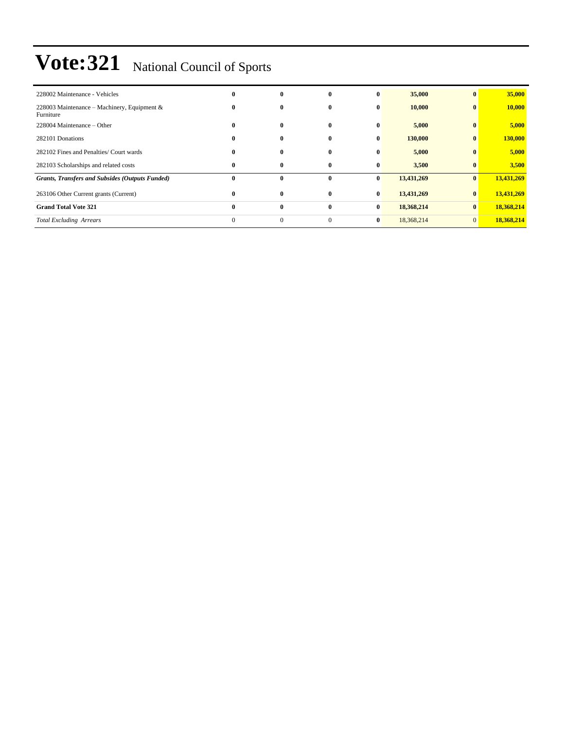| 228002 Maintenance - Vehicles                            | 0            | $\mathbf{0}$ | $\mathbf{0}$ | $\bf{0}$     | 35,000     | $\mathbf{0}$ | 35,000     |
|----------------------------------------------------------|--------------|--------------|--------------|--------------|------------|--------------|------------|
| 228003 Maintenance – Machinery, Equipment &<br>Furniture | $\mathbf{0}$ | $\mathbf{0}$ | $\mathbf{0}$ | $\mathbf{0}$ | 10,000     | $\mathbf{0}$ | 10,000     |
| 228004 Maintenance – Other                               | $\bf{0}$     | $\bf{0}$     | $\mathbf{0}$ | $\bf{0}$     | 5,000      | $\mathbf{0}$ | 5,000      |
| 282101 Donations                                         | $\mathbf{0}$ | $\bf{0}$     | $\mathbf{0}$ | $\bf{0}$     | 130,000    | $\bf{0}$     | 130,000    |
| 282102 Fines and Penalties/ Court wards                  | $\bf{0}$     | $\bf{0}$     | $\mathbf{0}$ | $\bf{0}$     | 5,000      | $\bf{0}$     | 5,000      |
| 282103 Scholarships and related costs                    | $\bf{0}$     | $\bf{0}$     | $\mathbf{0}$ | $\bf{0}$     | 3,500      | $\bf{0}$     | 3,500      |
| <b>Grants, Transfers and Subsides (Outputs Funded)</b>   | $\bf{0}$     | $\mathbf{0}$ | $\bf{0}$     | $\bf{0}$     | 13,431,269 | $\mathbf{0}$ | 13,431,269 |
| 263106 Other Current grants (Current)                    | $\mathbf{0}$ | $\bf{0}$     | $\mathbf{0}$ | $\bf{0}$     | 13,431,269 | $\bf{0}$     | 13,431,269 |
| <b>Grand Total Vote 321</b>                              | $\mathbf{0}$ | $\bf{0}$     | $\mathbf{0}$ | $\bf{0}$     | 18,368,214 | $\bf{0}$     | 18,368,214 |
| <b>Total Excluding Arrears</b>                           | $\theta$     | $\mathbf{0}$ | $\Omega$     | $\bf{0}$     | 18,368,214 | $\mathbf{0}$ | 18,368,214 |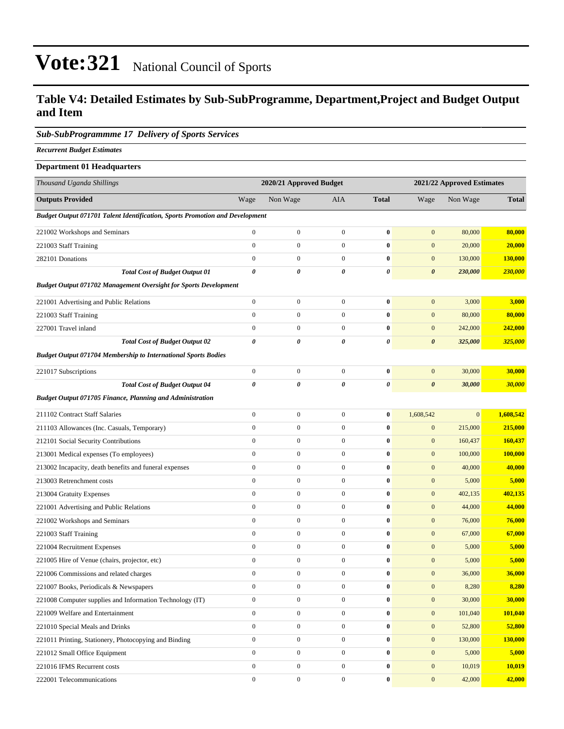#### **Table V4: Detailed Estimates by Sub-SubProgramme, Department,Project and Budget Output and Item**

#### *Sub-SubProgrammme 17 Delivery of Sports Services*

*Recurrent Budget Estimates*

| <b>Department 01 Headquarters</b>                                                   |                         |                  |                  |              |                            |              |              |  |
|-------------------------------------------------------------------------------------|-------------------------|------------------|------------------|--------------|----------------------------|--------------|--------------|--|
| Thousand Uganda Shillings                                                           | 2020/21 Approved Budget |                  |                  |              | 2021/22 Approved Estimates |              |              |  |
| <b>Outputs Provided</b>                                                             | Wage                    | Non Wage         | AIA              | <b>Total</b> | Wage                       | Non Wage     | <b>Total</b> |  |
| <b>Budget Output 071701 Talent Identification, Sports Promotion and Development</b> |                         |                  |                  |              |                            |              |              |  |
| 221002 Workshops and Seminars                                                       | $\boldsymbol{0}$        | $\boldsymbol{0}$ | $\boldsymbol{0}$ | $\bf{0}$     | $\mathbf{0}$               | 80,000       | 80,000       |  |
| 221003 Staff Training                                                               | $\boldsymbol{0}$        | $\boldsymbol{0}$ | $\boldsymbol{0}$ | $\bf{0}$     | $\mathbf{0}$               | 20,000       | 20,000       |  |
| 282101 Donations                                                                    | $\boldsymbol{0}$        | $\boldsymbol{0}$ | $\boldsymbol{0}$ | $\bf{0}$     | $\mathbf{0}$               | 130,000      | 130,000      |  |
| <b>Total Cost of Budget Output 01</b>                                               | 0                       | 0                | 0                | 0            | $\boldsymbol{\theta}$      | 230,000      | 230,000      |  |
| <b>Budget Output 071702 Management Oversight for Sports Development</b>             |                         |                  |                  |              |                            |              |              |  |
| 221001 Advertising and Public Relations                                             | $\boldsymbol{0}$        | $\boldsymbol{0}$ | $\boldsymbol{0}$ | $\bf{0}$     | $\mathbf{0}$               | 3,000        | 3,000        |  |
| 221003 Staff Training                                                               | $\boldsymbol{0}$        | $\boldsymbol{0}$ | $\boldsymbol{0}$ | $\bf{0}$     | $\mathbf{0}$               | 80,000       | 80,000       |  |
| 227001 Travel inland                                                                | $\boldsymbol{0}$        | $\boldsymbol{0}$ | $\boldsymbol{0}$ | $\bf{0}$     | $\mathbf{0}$               | 242,000      | 242,000      |  |
| <b>Total Cost of Budget Output 02</b>                                               | $\pmb{\theta}$          | 0                | 0                | 0            | $\pmb{\theta}$             | 325,000      | 325,000      |  |
| <b>Budget Output 071704 Membership to International Sports Bodies</b>               |                         |                  |                  |              |                            |              |              |  |
| 221017 Subscriptions                                                                | $\boldsymbol{0}$        | $\boldsymbol{0}$ | $\mathbf{0}$     | $\bf{0}$     | $\mathbf{0}$               | 30,000       | 30,000       |  |
| <b>Total Cost of Budget Output 04</b>                                               | $\pmb{\theta}$          | 0                | 0                | 0            | $\boldsymbol{\theta}$      | 30,000       | 30,000       |  |
| Budget Output 071705 Finance, Planning and Administration                           |                         |                  |                  |              |                            |              |              |  |
| 211102 Contract Staff Salaries                                                      | $\boldsymbol{0}$        | $\boldsymbol{0}$ | $\boldsymbol{0}$ | $\bf{0}$     | 1,608,542                  | $\mathbf{0}$ | 1,608,542    |  |
| 211103 Allowances (Inc. Casuals, Temporary)                                         | $\boldsymbol{0}$        | $\boldsymbol{0}$ | $\boldsymbol{0}$ | $\bf{0}$     | $\boldsymbol{0}$           | 215,000      | 215,000      |  |
| 212101 Social Security Contributions                                                | $\boldsymbol{0}$        | $\boldsymbol{0}$ | $\boldsymbol{0}$ | $\bf{0}$     | $\boldsymbol{0}$           | 160,437      | 160,437      |  |
| 213001 Medical expenses (To employees)                                              | $\boldsymbol{0}$        | $\boldsymbol{0}$ | $\mathbf{0}$     | $\bf{0}$     | $\boldsymbol{0}$           | 100,000      | 100,000      |  |
| 213002 Incapacity, death benefits and funeral expenses                              | $\boldsymbol{0}$        | $\boldsymbol{0}$ | $\boldsymbol{0}$ | $\bf{0}$     | $\mathbf{0}$               | 40,000       | 40,000       |  |
| 213003 Retrenchment costs                                                           | $\boldsymbol{0}$        | $\boldsymbol{0}$ | $\mathbf{0}$     | $\bf{0}$     | $\boldsymbol{0}$           | 5,000        | 5,000        |  |
| 213004 Gratuity Expenses                                                            | $\boldsymbol{0}$        | $\boldsymbol{0}$ | $\boldsymbol{0}$ | $\bf{0}$     | $\mathbf{0}$               | 402,135      | 402,135      |  |
| 221001 Advertising and Public Relations                                             | $\boldsymbol{0}$        | $\boldsymbol{0}$ | $\boldsymbol{0}$ | $\bf{0}$     | $\boldsymbol{0}$           | 44,000       | 44,000       |  |
| 221002 Workshops and Seminars                                                       | $\boldsymbol{0}$        | $\boldsymbol{0}$ | $\mathbf{0}$     | $\bf{0}$     | $\boldsymbol{0}$           | 76,000       | 76,000       |  |
| 221003 Staff Training                                                               | $\boldsymbol{0}$        | $\boldsymbol{0}$ | $\boldsymbol{0}$ | $\bf{0}$     | $\boldsymbol{0}$           | 67,000       | 67,000       |  |
| 221004 Recruitment Expenses                                                         | $\boldsymbol{0}$        | $\boldsymbol{0}$ | $\boldsymbol{0}$ | $\bf{0}$     | $\mathbf{0}$               | 5,000        | 5,000        |  |
| 221005 Hire of Venue (chairs, projector, etc)                                       | $\boldsymbol{0}$        | $\boldsymbol{0}$ | $\boldsymbol{0}$ | $\bf{0}$     | $\mathbf{0}$               | 5,000        | 5,000        |  |
| 221006 Commissions and related charges                                              | $\mathbf{0}$            | $\mathbf{0}$     | $\mathbf{0}$     | $\bf{0}$     | $\boldsymbol{0}$           | 36,000       | 36,000       |  |
| 221007 Books, Periodicals & Newspapers                                              | $\boldsymbol{0}$        | $\boldsymbol{0}$ | $\mathbf{0}$     | $\bf{0}$     | $\mathbf{0}$               | 8,280        | 8,280        |  |
| 221008 Computer supplies and Information Technology (IT)                            | $\mathbf{0}$            | $\boldsymbol{0}$ | $\boldsymbol{0}$ | $\bf{0}$     | $\mathbf{0}$               | 30,000       | 30,000       |  |
| 221009 Welfare and Entertainment                                                    | $\boldsymbol{0}$        | $\boldsymbol{0}$ | $\boldsymbol{0}$ | $\bf{0}$     | $\boldsymbol{0}$           | 101,040      | 101,040      |  |
| 221010 Special Meals and Drinks                                                     | $\boldsymbol{0}$        | $\boldsymbol{0}$ | $\boldsymbol{0}$ | $\bf{0}$     | $\mathbf{0}$               | 52,800       | 52,800       |  |
| 221011 Printing, Stationery, Photocopying and Binding                               | $\boldsymbol{0}$        | $\boldsymbol{0}$ | $\boldsymbol{0}$ | $\bf{0}$     | $\boldsymbol{0}$           | 130,000      | 130,000      |  |
| 221012 Small Office Equipment                                                       | $\boldsymbol{0}$        | $\boldsymbol{0}$ | $\mathbf{0}$     | $\bf{0}$     | $\mathbf{0}$               | 5,000        | 5,000        |  |
| 221016 IFMS Recurrent costs                                                         | $\mathbf{0}$            | $\boldsymbol{0}$ | $\boldsymbol{0}$ | $\bf{0}$     | $\mathbf{0}$               | 10,019       | 10,019       |  |
| 222001 Telecommunications                                                           | $\boldsymbol{0}$        | $\boldsymbol{0}$ | $\boldsymbol{0}$ | $\bf{0}$     | $\boldsymbol{0}$           | 42,000       | 42,000       |  |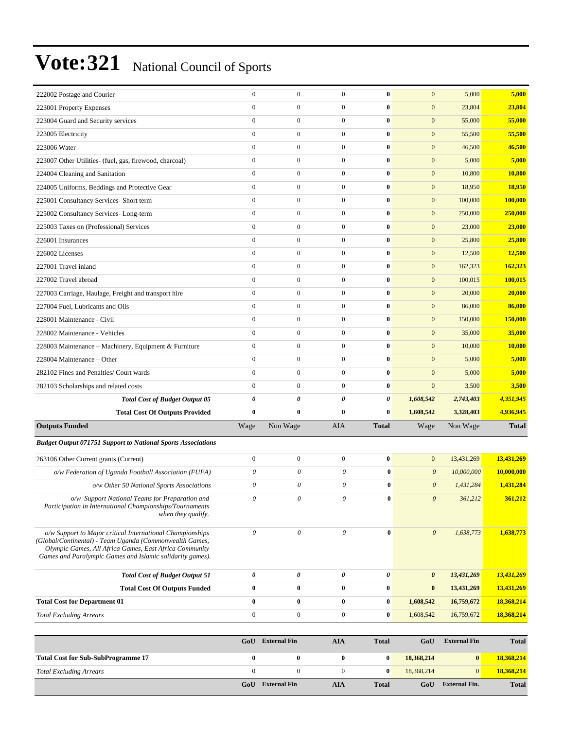| 222002 Postage and Courier                                                                                                                                                                                                                  | $\boldsymbol{0}$      | $\boldsymbol{0}$          | $\mathbf{0}$          | $\bf{0}$              | $\mathbf{0}$          | 5,000      | 5,000        |
|---------------------------------------------------------------------------------------------------------------------------------------------------------------------------------------------------------------------------------------------|-----------------------|---------------------------|-----------------------|-----------------------|-----------------------|------------|--------------|
| 223001 Property Expenses                                                                                                                                                                                                                    | $\mathbf{0}$          | $\boldsymbol{0}$          | $\overline{0}$        | $\bf{0}$              | $\mathbf{0}$          | 23,804     | 23,804       |
| 223004 Guard and Security services                                                                                                                                                                                                          | $\mathbf{0}$          | $\boldsymbol{0}$          | $\overline{0}$        | $\bf{0}$              | $\boldsymbol{0}$      | 55,000     | 55,000       |
| 223005 Electricity                                                                                                                                                                                                                          | $\mathbf{0}$          | $\boldsymbol{0}$          | $\boldsymbol{0}$      | $\bf{0}$              | $\boldsymbol{0}$      | 55,500     | 55,500       |
| 223006 Water                                                                                                                                                                                                                                | $\mathbf{0}$          | $\boldsymbol{0}$          | $\boldsymbol{0}$      | $\bf{0}$              | $\boldsymbol{0}$      | 46,500     | 46,500       |
| 223007 Other Utilities- (fuel, gas, firewood, charcoal)                                                                                                                                                                                     | $\mathbf{0}$          | $\boldsymbol{0}$          | $\overline{0}$        | $\bf{0}$              | $\boldsymbol{0}$      | 5,000      | 5,000        |
| 224004 Cleaning and Sanitation                                                                                                                                                                                                              | $\mathbf{0}$          | $\boldsymbol{0}$          | $\mathbf{0}$          | $\bf{0}$              | $\mathbf{0}$          | 10,800     | 10,800       |
| 224005 Uniforms, Beddings and Protective Gear                                                                                                                                                                                               | $\mathbf{0}$          | $\boldsymbol{0}$          | $\overline{0}$        | $\bf{0}$              | $\boldsymbol{0}$      | 18,950     | 18,950       |
| 225001 Consultancy Services- Short term                                                                                                                                                                                                     | $\mathbf{0}$          | $\boldsymbol{0}$          | $\boldsymbol{0}$      | $\bf{0}$              | $\mathbf{0}$          | 100,000    | 100,000      |
| 225002 Consultancy Services-Long-term                                                                                                                                                                                                       | $\mathbf{0}$          | $\boldsymbol{0}$          | $\boldsymbol{0}$      | $\bf{0}$              | $\mathbf{0}$          | 250,000    | 250,000      |
| 225003 Taxes on (Professional) Services                                                                                                                                                                                                     | $\mathbf{0}$          | $\boldsymbol{0}$          | $\overline{0}$        | $\bf{0}$              | $\mathbf{0}$          | 23,000     | 23,000       |
| 226001 Insurances                                                                                                                                                                                                                           | $\mathbf{0}$          | $\boldsymbol{0}$          | $\mathbf{0}$          | $\bf{0}$              | $\mathbf{0}$          | 25,800     | 25,800       |
| 226002 Licenses                                                                                                                                                                                                                             | $\mathbf{0}$          | $\boldsymbol{0}$          | $\overline{0}$        | $\bf{0}$              | $\boldsymbol{0}$      | 12,500     | 12,500       |
| 227001 Travel inland                                                                                                                                                                                                                        | $\mathbf{0}$          | $\boldsymbol{0}$          | $\mathbf{0}$          | $\bf{0}$              | $\mathbf{0}$          | 162,323    | 162,323      |
| 227002 Travel abroad                                                                                                                                                                                                                        | $\mathbf{0}$          | $\boldsymbol{0}$          | $\boldsymbol{0}$      | $\bf{0}$              | $\mathbf{0}$          | 100,015    | 100,015      |
| 227003 Carriage, Haulage, Freight and transport hire                                                                                                                                                                                        | $\boldsymbol{0}$      | $\boldsymbol{0}$          | $\overline{0}$        | $\bf{0}$              | $\mathbf{0}$          | 20,000     | 20,000       |
| 227004 Fuel, Lubricants and Oils                                                                                                                                                                                                            | $\mathbf{0}$          | $\boldsymbol{0}$          | $\overline{0}$        | $\bf{0}$              | $\mathbf{0}$          | 86,000     | 86,000       |
| 228001 Maintenance - Civil                                                                                                                                                                                                                  | $\mathbf{0}$          | $\boldsymbol{0}$          | $\overline{0}$        | $\bf{0}$              | $\boldsymbol{0}$      | 150,000    | 150,000      |
| 228002 Maintenance - Vehicles                                                                                                                                                                                                               | $\mathbf{0}$          | $\boldsymbol{0}$          | $\mathbf{0}$          | $\bf{0}$              | $\boldsymbol{0}$      | 35,000     | 35,000       |
| 228003 Maintenance - Machinery, Equipment & Furniture                                                                                                                                                                                       | $\mathbf{0}$          | $\boldsymbol{0}$          | $\boldsymbol{0}$      | $\bf{0}$              | $\mathbf{0}$          | 10,000     | 10,000       |
| 228004 Maintenance – Other                                                                                                                                                                                                                  | $\mathbf{0}$          | $\boldsymbol{0}$          | $\overline{0}$        | $\bf{0}$              | $\mathbf{0}$          | 5,000      | 5,000        |
| 282102 Fines and Penalties/ Court wards                                                                                                                                                                                                     | $\mathbf{0}$          | $\boldsymbol{0}$          | $\overline{0}$        | $\bf{0}$              | $\boldsymbol{0}$      | 5,000      | 5,000        |
| 282103 Scholarships and related costs                                                                                                                                                                                                       | $\mathbf{0}$          | $\boldsymbol{0}$          | $\overline{0}$        | $\bf{0}$              | $\mathbf{0}$          | 3,500      | 3,500        |
| <b>Total Cost of Budget Output 05</b>                                                                                                                                                                                                       | $\boldsymbol{\theta}$ | 0                         | 0                     | $\boldsymbol{\theta}$ | 1,608,542             | 2,743,403  | 4,351,945    |
| <b>Total Cost Of Outputs Provided</b>                                                                                                                                                                                                       | $\bf{0}$              | $\bf{0}$                  | $\bf{0}$              | $\bf{0}$              | 1,608,542             | 3,328,403  | 4,936,945    |
| <b>Outputs Funded</b>                                                                                                                                                                                                                       | Wage                  | Non Wage                  | AIA                   | <b>Total</b>          | Wage                  | Non Wage   | <b>Total</b> |
| <b>Budget Output 071751 Support to National Sports Associations</b>                                                                                                                                                                         |                       |                           |                       |                       |                       |            |              |
| 263106 Other Current grants (Current)                                                                                                                                                                                                       | $\boldsymbol{0}$      | $\boldsymbol{0}$          | $\overline{0}$        | $\bf{0}$              | $\mathbf{0}$          | 13,431,269 | 13,431,269   |
| o/w Federation of Uganda Football Association (FUFA)                                                                                                                                                                                        | $\theta$              | 0                         | $\theta$              | $\bf{0}$              | $\boldsymbol{\theta}$ | 10,000,000 | 10,000,000   |
| o/w Other 50 National Sports Associations                                                                                                                                                                                                   | $\theta$              | 0                         | 0                     | $\bf{0}$              | $\boldsymbol{\theta}$ | 1,431,284  | 1,431,284    |
| o/w Support National Teams for Preparation and<br>Participation in International Championships/Tournaments<br>when they qualify.                                                                                                            | 0                     | 0                         | 0                     | $\bf{0}$              | $\boldsymbol{\theta}$ | 361,212    | 361,212      |
| o/w Support to Major critical International Championships<br>(Global/Continental) - Team Uganda (Commonwealth Games,<br>Olympic Games, All Africa Games, East Africa Community<br>Games and Paralympic Games and Islamic solidarity games). | $\theta$              | $\boldsymbol{\mathit{0}}$ | 0                     | $\bf{0}$              | $\theta$              | 1,638,773  | 1,638,773    |
| <b>Total Cost of Budget Output 51</b>                                                                                                                                                                                                       | $\pmb{\theta}$        | $\pmb{\theta}$            | $\boldsymbol{\theta}$ | 0                     | $\boldsymbol{\theta}$ | 13,431,269 | 13,431,269   |
| <b>Total Cost Of Outputs Funded</b>                                                                                                                                                                                                         | $\bf{0}$              | $\boldsymbol{0}$          | $\bf{0}$              | $\boldsymbol{0}$      | $\bf{0}$              | 13,431,269 | 13,431,269   |
| <b>Total Cost for Department 01</b>                                                                                                                                                                                                         | $\bf{0}$              | $\bf{0}$                  | $\bf{0}$              | $\bf{0}$              | 1,608,542             | 16,759,672 | 18,368,214   |
| <b>Total Excluding Arrears</b>                                                                                                                                                                                                              | $\boldsymbol{0}$      | $\boldsymbol{0}$          | $\boldsymbol{0}$      | $\bf{0}$              | 1,608,542             | 16,759,672 | 18,368,214   |
|                                                                                                                                                                                                                                             |                       |                           |                       |                       |                       |            |              |

|                                           | GoU | <b>External Fin</b> | AIA | <b>Total</b> | GoU        | <b>External Fin</b>  | <b>Total</b> |
|-------------------------------------------|-----|---------------------|-----|--------------|------------|----------------------|--------------|
| <b>Total Cost for Sub-SubProgramme 17</b> |     |                     |     | $\bf{0}$     | 18.368.214 |                      | 18,368,214   |
| <b>Total Excluding Arrears</b>            |     |                     |     | $\mathbf{0}$ | 18.368.214 |                      | 18.368.214   |
|                                           | GoU | <b>External Fin</b> | AIA | <b>Total</b> | GoU        | <b>External Fin.</b> | <b>Total</b> |